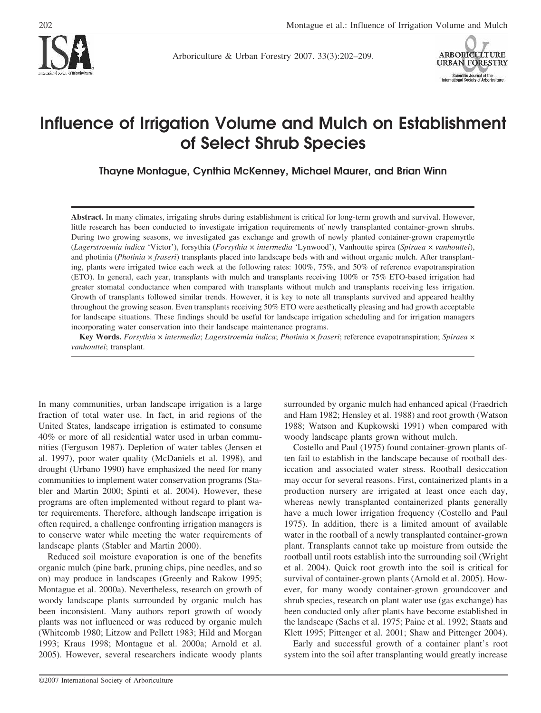

Arboriculture & Urban Forestry 2007. 33(3):202–209.



# **Influence of Irrigation Volume and Mulch on Establishment of Select Shrub Species**

**Thayne Montague, Cynthia McKenney, Michael Maurer, and Brian Winn**

**Abstract.** In many climates, irrigating shrubs during establishment is critical for long-term growth and survival. However, little research has been conducted to investigate irrigation requirements of newly transplanted container-grown shrubs. During two growing seasons, we investigated gas exchange and growth of newly planted container-grown crapemyrtle (*Lagerstroemia indica* 'Victor'), forsythia (*Forsythia* × *intermedia* 'Lynwood'), Vanhoutte spirea (*Spiraea* × *vanhouttei*), and photinia (*Photinia* × *fraseri*) transplants placed into landscape beds with and without organic mulch. After transplanting, plants were irrigated twice each week at the following rates: 100%, 75%, and 50% of reference evapotranspiration (ETO). In general, each year, transplants with mulch and transplants receiving 100% or 75% ETO-based irrigation had greater stomatal conductance when compared with transplants without mulch and transplants receiving less irrigation. Growth of transplants followed similar trends. However, it is key to note all transplants survived and appeared healthy throughout the growing season. Even transplants receiving 50% ETO were aesthetically pleasing and had growth acceptable for landscape situations. These findings should be useful for landscape irrigation scheduling and for irrigation managers incorporating water conservation into their landscape maintenance programs.

**Key Words.** *Forsythia* × *intermedia*; *Lagerstroemia indica*; *Photinia* × *fraseri*; reference evapotranspiration; *Spiraea* × *vanhouttei*; transplant.

In many communities, urban landscape irrigation is a large fraction of total water use. In fact, in arid regions of the United States, landscape irrigation is estimated to consume 40% or more of all residential water used in urban communities (Ferguson 1987). Depletion of water tables (Jensen et al. 1997), poor water quality (McDaniels et al. 1998), and drought (Urbano 1990) have emphasized the need for many communities to implement water conservation programs (Stabler and Martin 2000; Spinti et al. 2004). However, these programs are often implemented without regard to plant water requirements. Therefore, although landscape irrigation is often required, a challenge confronting irrigation managers is to conserve water while meeting the water requirements of landscape plants (Stabler and Martin 2000).

Reduced soil moisture evaporation is one of the benefits organic mulch (pine bark, pruning chips, pine needles, and so on) may produce in landscapes (Greenly and Rakow 1995; Montague et al. 2000a). Nevertheless, research on growth of woody landscape plants surrounded by organic mulch has been inconsistent. Many authors report growth of woody plants was not influenced or was reduced by organic mulch (Whitcomb 1980; Litzow and Pellett 1983; Hild and Morgan 1993; Kraus 1998; Montague et al. 2000a; Arnold et al. 2005). However, several researchers indicate woody plants

surrounded by organic mulch had enhanced apical (Fraedrich and Ham 1982; Hensley et al. 1988) and root growth (Watson 1988; Watson and Kupkowski 1991) when compared with woody landscape plants grown without mulch.

Costello and Paul (1975) found container-grown plants often fail to establish in the landscape because of rootball desiccation and associated water stress. Rootball desiccation may occur for several reasons. First, containerized plants in a production nursery are irrigated at least once each day, whereas newly transplanted containerized plants generally have a much lower irrigation frequency (Costello and Paul 1975). In addition, there is a limited amount of available water in the rootball of a newly transplanted container-grown plant. Transplants cannot take up moisture from outside the rootball until roots establish into the surrounding soil (Wright et al. 2004). Quick root growth into the soil is critical for survival of container-grown plants (Arnold et al. 2005). However, for many woody container-grown groundcover and shrub species, research on plant water use (gas exchange) has been conducted only after plants have become established in the landscape (Sachs et al. 1975; Paine et al. 1992; Staats and Klett 1995; Pittenger et al. 2001; Shaw and Pittenger 2004).

Early and successful growth of a container plant's root system into the soil after transplanting would greatly increase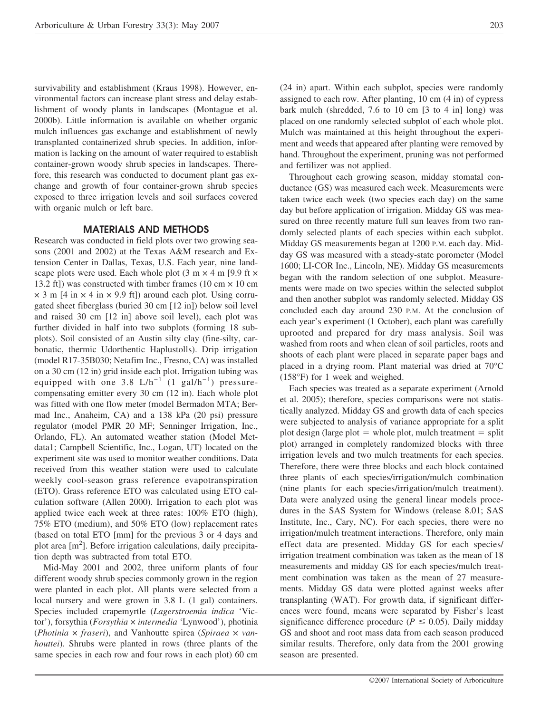survivability and establishment (Kraus 1998). However, environmental factors can increase plant stress and delay establishment of woody plants in landscapes (Montague et al. 2000b). Little information is available on whether organic mulch influences gas exchange and establishment of newly transplanted containerized shrub species. In addition, information is lacking on the amount of water required to establish container-grown woody shrub species in landscapes. Therefore, this research was conducted to document plant gas exchange and growth of four container-grown shrub species exposed to three irrigation levels and soil surfaces covered with organic mulch or left bare.

### **MATERIALS AND METHODS**

Research was conducted in field plots over two growing seasons (2001 and 2002) at the Texas A&M research and Extension Center in Dallas, Texas, U.S. Each year, nine landscape plots were used. Each whole plot  $(3 \text{ m} \times 4 \text{ m})$  [9.9 ft  $\times$ 13.2 ft) was constructed with timber frames (10 cm  $\times$  10 cm  $\times$  3 m [4 in  $\times$  4 in  $\times$  9.9 ft]) around each plot. Using corrugated sheet fiberglass (buried 30 cm [12 in]) below soil level and raised 30 cm [12 in] above soil level), each plot was further divided in half into two subplots (forming 18 subplots). Soil consisted of an Austin silty clay (fine-silty, carbonatic, thermic Udorthentic Haplustolls). Drip irrigation (model R17-35B030; Netafim Inc., Fresno, CA) was installed on a 30 cm (12 in) grid inside each plot. Irrigation tubing was equipped with one 3.8 L/h<sup>-1</sup> (1 gal/h<sup>-1</sup>) pressurecompensating emitter every 30 cm (12 in). Each whole plot was fitted with one flow meter (model Bermadon MTA; Bermad Inc., Anaheim, CA) and a 138 kPa (20 psi) pressure regulator (model PMR 20 MF; Senninger Irrigation, Inc., Orlando, FL). An automated weather station (Model Metdata1; Campbell Scientific, Inc., Logan, UT) located on the experiment site was used to monitor weather conditions. Data received from this weather station were used to calculate weekly cool-season grass reference evapotranspiration (ETO). Grass reference ETO was calculated using ETO calculation software (Allen 2000). Irrigation to each plot was applied twice each week at three rates: 100% ETO (high), 75% ETO (medium), and 50% ETO (low) replacement rates (based on total ETO [mm] for the previous 3 or 4 days and plot area [m<sup>2</sup>]. Before irrigation calculations, daily precipitation depth was subtracted from total ETO.

Mid-May 2001 and 2002, three uniform plants of four different woody shrub species commonly grown in the region were planted in each plot. All plants were selected from a local nursery and were grown in 3.8 L (1 gal) containers. Species included crapemyrtle (*Lagerstroemia indica* 'Victor'), forsythia (*Forsythia* × *intermedia* 'Lynwood'), photinia (*Photinia* × *fraseri*), and Vanhoutte spirea (*Spiraea* × *vanhouttei*). Shrubs were planted in rows (three plants of the same species in each row and four rows in each plot) 60 cm

(24 in) apart. Within each subplot, species were randomly assigned to each row. After planting, 10 cm (4 in) of cypress bark mulch (shredded, 7.6 to 10 cm [3 to 4 in] long) was placed on one randomly selected subplot of each whole plot. Mulch was maintained at this height throughout the experiment and weeds that appeared after planting were removed by hand. Throughout the experiment, pruning was not performed and fertilizer was not applied.

Throughout each growing season, midday stomatal conductance (GS) was measured each week. Measurements were taken twice each week (two species each day) on the same day but before application of irrigation. Midday GS was measured on three recently mature full sun leaves from two randomly selected plants of each species within each subplot. Midday GS measurements began at 1200 P.M. each day. Midday GS was measured with a steady-state porometer (Model 1600; LI-COR Inc., Lincoln, NE). Midday GS measurements began with the random selection of one subplot. Measurements were made on two species within the selected subplot and then another subplot was randomly selected. Midday GS concluded each day around 230 P.M. At the conclusion of each year's experiment (1 October), each plant was carefully uprooted and prepared for dry mass analysis. Soil was washed from roots and when clean of soil particles, roots and shoots of each plant were placed in separate paper bags and placed in a drying room. Plant material was dried at 70°C (158°F) for 1 week and weighed.

Each species was treated as a separate experiment (Arnold et al. 2005); therefore, species comparisons were not statistically analyzed. Midday GS and growth data of each species were subjected to analysis of variance appropriate for a split plot design (large plot  $=$  whole plot, mulch treatment  $=$  split plot) arranged in completely randomized blocks with three irrigation levels and two mulch treatments for each species. Therefore, there were three blocks and each block contained three plants of each species/irrigation/mulch combination (nine plants for each species/irrigation/mulch treatment). Data were analyzed using the general linear models procedures in the SAS System for Windows (release 8.01; SAS Institute, Inc., Cary, NC). For each species, there were no irrigation/mulch treatment interactions. Therefore, only main effect data are presented. Midday GS for each species/ irrigation treatment combination was taken as the mean of 18 measurements and midday GS for each species/mulch treatment combination was taken as the mean of 27 measurements. Midday GS data were plotted against weeks after transplanting (WAT). For growth data, if significant differences were found, means were separated by Fisher's least significance difference procedure ( $P \leq 0.05$ ). Daily midday GS and shoot and root mass data from each season produced similar results. Therefore, only data from the 2001 growing season are presented.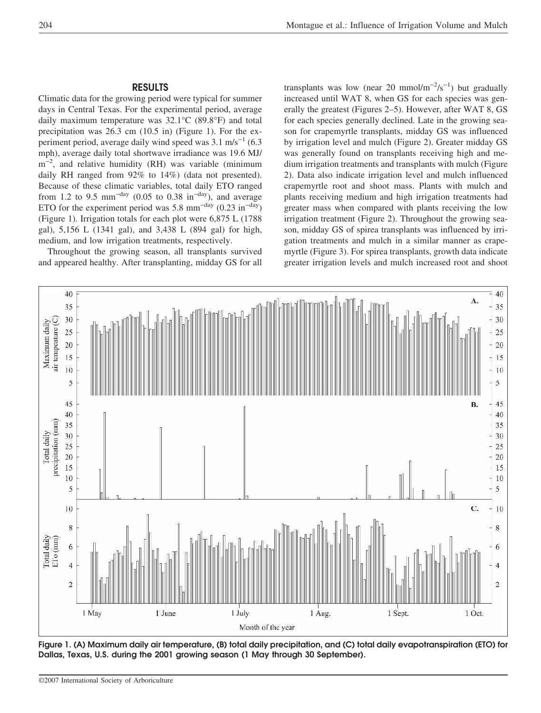# **RESULTS**

Climatic data for the growing period were typical for summer days in Central Texas. For the experimental period, average daily maximum temperature was 32.1°C (89.8°F) and total precipitation was 26.3 cm (10.5 in) (Figure 1). For the experiment period, average daily wind speed was  $3.1 \text{ m/s}^{-1}$  (6.3) mph), average daily total shortwave irradiance was 19.6 MJ/ m<sup>-2</sup>, and relative humidity (RH) was variable (minimum daily RH ranged from 92% to 14%) (data not presented). Because of these climatic variables, total daily ETO ranged from 1.2 to 9.5 mm<sup>-day</sup> (0.05 to 0.38 in<sup>-day</sup>), and average ETO for the experiment period was 5.8 mm<sup>-day</sup> (0.23 in<sup>-day</sup>) (Figure 1). Irrigation totals for each plot were 6,875 L (1788 gal), 5,156 L (1341 gal), and 3,438 L (894 gal) for high, medium, and low irrigation treatments, respectively.

Throughout the growing season, all transplants survived and appeared healthy. After transplanting, midday GS for all

transplants was low (near 20 mmol/m<sup>-2</sup>/s<sup>-1</sup>) but gradually increased until WAT 8, when GS for each species was generally the greatest (Figures 2–5). However, after WAT 8, GS for each species generally declined. Late in the growing season for crapemyrtle transplants, midday GS was influenced by irrigation level and mulch (Figure 2). Greater midday GS was generally found on transplants receiving high and medium irrigation treatments and transplants with mulch (Figure 2). Data also indicate irrigation level and mulch influenced crapemyrtle root and shoot mass. Plants with mulch and plants receiving medium and high irrigation treatments had greater mass when compared with plants receiving the low irrigation treatment (Figure 2). Throughout the growing season, midday GS of spirea transplants was influenced by irrigation treatments and mulch in a similar manner as crapemyrtle (Figure 3). For spirea transplants, growth data indicate greater irrigation levels and mulch increased root and shoot



**Figure 1. (A) Maximum daily air temperature, (B) total daily precipitation, and (C) total daily evapotranspiration (ETO) for Dallas, Texas, U.S. during the 2001 growing season (1 May through 30 September).**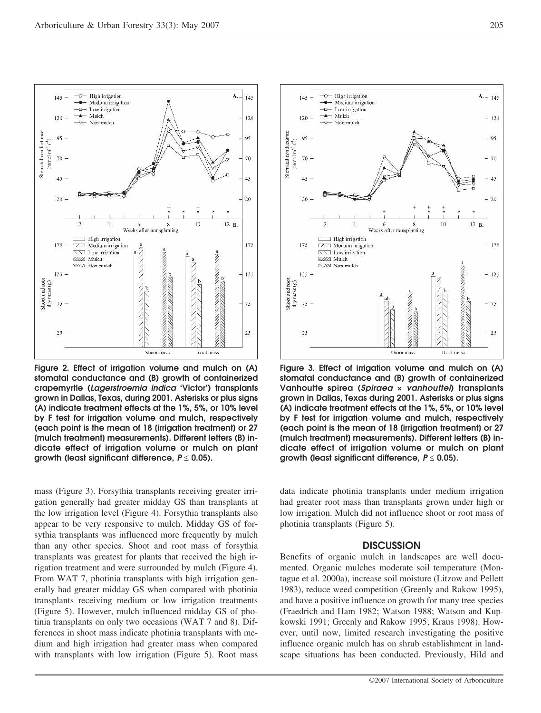**Figure 2. Effect of irrigation volume and mulch on (A) stomatal conductance and (B) growth of containerized crapemyrtle (***Lagerstroemia indica* **'Victor') transplants grown in Dallas, Texas, during 2001. Asterisks or plus signs (A) indicate treatment effects at the 1%, 5%, or 10% level by F test for irrigation volume and mulch, respectively (each point is the mean of 18 [irrigation treatment] or 27 [mulch treatment] measurements). Different letters (B) indicate effect of irrigation volume or mulch on plant growth (least significant difference,** *P* ≤ **0.05).**

mass (Figure 3). Forsythia transplants receiving greater irrigation generally had greater midday GS than transplants at the low irrigation level (Figure 4). Forsythia transplants also appear to be very responsive to mulch. Midday GS of forsythia transplants was influenced more frequently by mulch than any other species. Shoot and root mass of forsythia transplants was greatest for plants that received the high irrigation treatment and were surrounded by mulch (Figure 4). From WAT 7, photinia transplants with high irrigation generally had greater midday GS when compared with photinia transplants receiving medium or low irrigation treatments (Figure 5). However, mulch influenced midday GS of photinia transplants on only two occasions (WAT 7 and 8). Differences in shoot mass indicate photinia transplants with medium and high irrigation had greater mass when compared with transplants with low irrigation (Figure 5). Root mass



data indicate photinia transplants under medium irrigation had greater root mass than transplants grown under high or low irrigation. Mulch did not influence shoot or root mass of photinia transplants (Figure 5).

#### **DISCUSSION**

Benefits of organic mulch in landscapes are well documented. Organic mulches moderate soil temperature (Montague et al. 2000a), increase soil moisture (Litzow and Pellett 1983), reduce weed competition (Greenly and Rakow 1995), and have a positive influence on growth for many tree species (Fraedrich and Ham 1982; Watson 1988; Watson and Kupkowski 1991; Greenly and Rakow 1995; Kraus 1998). However, until now, limited research investigating the positive influence organic mulch has on shrub establishment in landscape situations has been conducted. Previously, Hild and



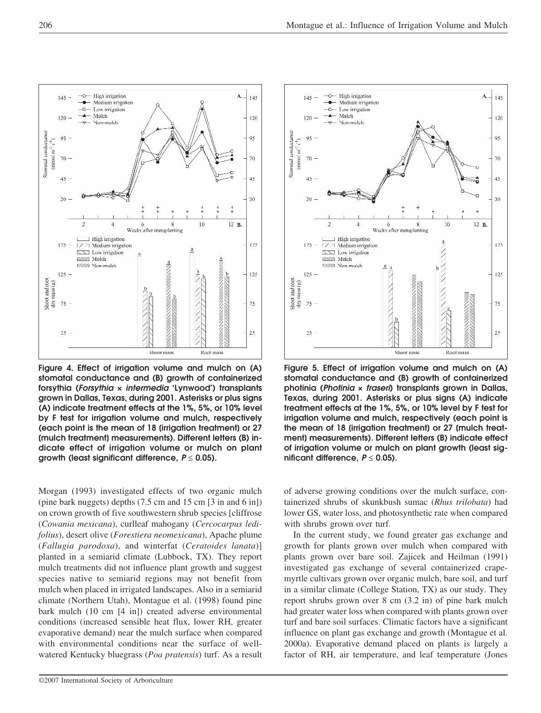$\circ$ 

 $\overline{a}$ 

 $\overline{2}$ 

 $145$ 

 $120$ 

 $95$ 

70

 $45$ 

 $20$ 

175

 $125 -$ 

75

 $25$ 

Shoot and root<br> $dry$  mass  $(g)$ 

Stornatal conductance

 $(mmod m<sup>-1</sup> s<sup>-1</sup>)$ 

High irrigation

- Medium irrigation

Non-mulch

 $\overline{4}$ 

I High irrigation

[ZZ] Medium irrigation

 $\overline{\triangle}$  Low irrigation

**NXXX** Non-mulch

W///2 Mulch

 $-D-$  Low irrigati  $-$  Mulch

 $\mathbf{A}$ .

 $145$ 

 $120$ 

95

70

 $45$ 

20

175

 $125$ 

75

 $25$ 

12 B.

 $10$ 

Root mass

 $\overline{\mathbf{8}}$ 

**CELERATION SERVICE** 

 $\ddot{\mathbf{6}}$ Weeks after transplanting

**Figure 4. Effect of irrigation volume and mulch on (A) stomatal conductance and (B) growth of containerized forsythia (***Forsythia* **×** *intermedia* **'Lynwood') transplants grown in Dallas, Texas, during 2001. Asterisks or plus signs (A) indicate treatment effects at the 1%, 5%, or 10% level by F test for irrigation volume and mulch, respectively (each point is the mean of 18 [irrigation treatment] or 27 [mulch treatment] measurements). Different letters (B) indicate effect of irrigation volume or mulch on plant growth (least significant difference,** *P* ≤ **0.05).**

Shoot mass

Morgan (1993) investigated effects of two organic mulch (pine bark nuggets) depths (7.5 cm and 15 cm [3 in and 6 in]) on crown growth of five southwestern shrub species [cliffrose (*Cowania mexicana*), curlleaf mahogany (*Cercocarpus ledifolius*), desert olive (*Forestiera neomexicana*), Apache plume (*Fallugia parodoxa*), and winterfat (*Ceratoides lanata*)] planted in a semiarid climate (Lubbock, TX). They report mulch treatments did not influence plant growth and suggest species native to semiarid regions may not benefit from mulch when placed in irrigated landscapes. Also in a semiarid climate (Northern Utah), Montague et al. (1998) found pine bark mulch (10 cm [4 in]) created adverse environmental conditions (increased sensible heat flux, lower RH, greater evaporative demand) near the mulch surface when compared with environmental conditions near the surface of wellwatered Kentucky bluegrass (*Poa pratensis*) turf. As a result



**Figure 5. Effect of irrigation volume and mulch on (A) stomatal conductance and (B) growth of containerized photinia (***Photinia* **×** *fraseri***) transplants grown in Dallas, Texas, during 2001. Asterisks or plus signs (A) indicate treatment effects at the 1%, 5%, or 10% level by F test for irrigation volume and mulch, respectively (each point is the mean of 18 [irrigation treatment] or 27 [mulch treatment] measurements). Different letters (B) indicate effect of irrigation volume or mulch on plant growth (least significant difference,** *P* ≤ **0.05).**

of adverse growing conditions over the mulch surface, containerized shrubs of skunkbush sumac (*Rhus trilobata*) had lower GS, water loss, and photosynthetic rate when compared with shrubs grown over turf.

In the current study, we found greater gas exchange and growth for plants grown over mulch when compared with plants grown over bare soil. Zajicek and Heilman (1991) investigated gas exchange of several containerized crapemyrtle cultivars grown over organic mulch, bare soil, and turf in a similar climate (College Station, TX) as our study. They report shrubs grown over 8 cm (3.2 in) of pine bark mulch had greater water loss when compared with plants grown over turf and bare soil surfaces. Climatic factors have a significant influence on plant gas exchange and growth (Montague et al. 2000a). Evaporative demand placed on plants is largely a factor of RH, air temperature, and leaf temperature (Jones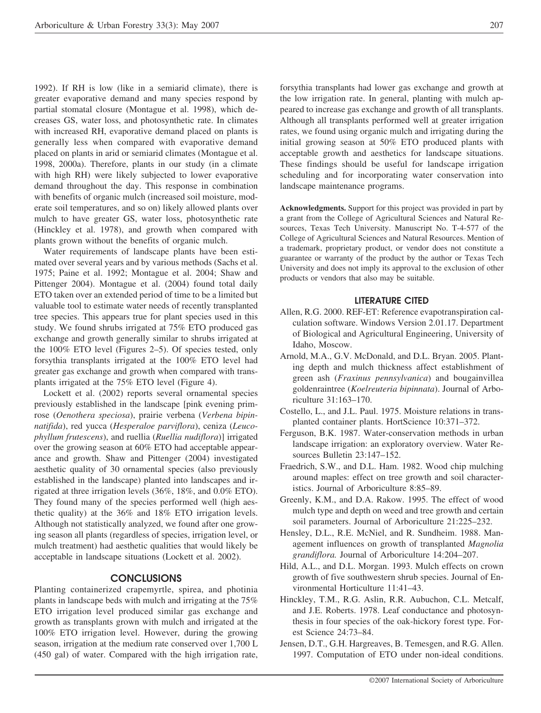1992). If RH is low (like in a semiarid climate), there is greater evaporative demand and many species respond by partial stomatal closure (Montague et al. 1998), which decreases GS, water loss, and photosynthetic rate. In climates with increased RH, evaporative demand placed on plants is generally less when compared with evaporative demand placed on plants in arid or semiarid climates (Montague et al. 1998, 2000a). Therefore, plants in our study (in a climate with high RH) were likely subjected to lower evaporative demand throughout the day. This response in combination with benefits of organic mulch (increased soil moisture, moderate soil temperatures, and so on) likely allowed plants over mulch to have greater GS, water loss, photosynthetic rate (Hinckley et al. 1978), and growth when compared with plants grown without the benefits of organic mulch.

Water requirements of landscape plants have been estimated over several years and by various methods (Sachs et al. 1975; Paine et al. 1992; Montague et al. 2004; Shaw and Pittenger 2004). Montague et al. (2004) found total daily ETO taken over an extended period of time to be a limited but valuable tool to estimate water needs of recently transplanted tree species. This appears true for plant species used in this study. We found shrubs irrigated at 75% ETO produced gas exchange and growth generally similar to shrubs irrigated at the 100% ETO level (Figures 2–5). Of species tested, only forsythia transplants irrigated at the 100% ETO level had greater gas exchange and growth when compared with transplants irrigated at the 75% ETO level (Figure 4).

Lockett et al. (2002) reports several ornamental species previously established in the landscape [pink evening primrose (*Oenothera speciosa*), prairie verbena (*Verbena bipinnatifida*), red yucca (*Hesperaloe parviflora*), ceniza (*Leucophyllum frutescens*), and ruellia (*Ruellia nudiflora*)] irrigated over the growing season at 60% ETO had acceptable appearance and growth. Shaw and Pittenger (2004) investigated aesthetic quality of 30 ornamental species (also previously established in the landscape) planted into landscapes and irrigated at three irrigation levels (36%, 18%, and 0.0% ETO). They found many of the species performed well (high aesthetic quality) at the 36% and 18% ETO irrigation levels. Although not statistically analyzed, we found after one growing season all plants (regardless of species, irrigation level, or mulch treatment) had aesthetic qualities that would likely be acceptable in landscape situations (Lockett et al. 2002).

#### **CONCLUSIONS**

Planting containerized crapemyrtle, spirea, and photinia plants in landscape beds with mulch and irrigating at the 75% ETO irrigation level produced similar gas exchange and growth as transplants grown with mulch and irrigated at the 100% ETO irrigation level. However, during the growing season, irrigation at the medium rate conserved over 1,700 L (450 gal) of water. Compared with the high irrigation rate,

forsythia transplants had lower gas exchange and growth at the low irrigation rate. In general, planting with mulch appeared to increase gas exchange and growth of all transplants. Although all transplants performed well at greater irrigation rates, we found using organic mulch and irrigating during the initial growing season at 50% ETO produced plants with acceptable growth and aesthetics for landscape situations. These findings should be useful for landscape irrigation scheduling and for incorporating water conservation into landscape maintenance programs.

**Acknowledgments.** Support for this project was provided in part by a grant from the College of Agricultural Sciences and Natural Resources, Texas Tech University. Manuscript No. T-4-577 of the College of Agricultural Sciences and Natural Resources. Mention of a trademark, proprietary product, or vendor does not constitute a guarantee or warranty of the product by the author or Texas Tech University and does not imply its approval to the exclusion of other products or vendors that also may be suitable.

#### **LITERATURE CITED**

- Allen, R.G. 2000. REF-ET: Reference evapotranspiration calculation software. Windows Version 2.01.17. Department of Biological and Agricultural Engineering, University of Idaho, Moscow.
- Arnold, M.A., G.V. McDonald, and D.L. Bryan. 2005. Planting depth and mulch thickness affect establishment of green ash (*Fraxinus pennsylvanica*) and bougainvillea goldenraintree (*Koelreuteria bipinnata*). Journal of Arboriculture 31:163–170.
- Costello, L., and J.L. Paul. 1975. Moisture relations in transplanted container plants. HortScience 10:371–372.
- Ferguson, B.K. 1987. Water-conservation methods in urban landscape irrigation: an exploratory overview. Water Resources Bulletin 23:147–152.
- Fraedrich, S.W., and D.L. Ham. 1982. Wood chip mulching around maples: effect on tree growth and soil characteristics. Journal of Arboriculture 8:85–89.
- Greenly, K.M., and D.A. Rakow. 1995. The effect of wood mulch type and depth on weed and tree growth and certain soil parameters. Journal of Arboriculture 21:225–232.
- Hensley, D.L., R.E. McNiel, and R. Sundheim. 1988. Management influences on growth of transplanted *Magnolia grandiflora.* Journal of Arboriculture 14:204–207.
- Hild, A.L., and D.L. Morgan. 1993. Mulch effects on crown growth of five southwestern shrub species. Journal of Environmental Horticulture 11:41–43.
- Hinckley, T.M., R.G. Aslin, R.R. Aubuchon, C.L. Metcalf, and J.E. Roberts. 1978. Leaf conductance and photosynthesis in four species of the oak-hickory forest type. Forest Science 24:73–84.
- Jensen, D.T., G.H. Hargreaves, B. Temesgen, and R.G. Allen. 1997. Computation of ETO under non-ideal conditions.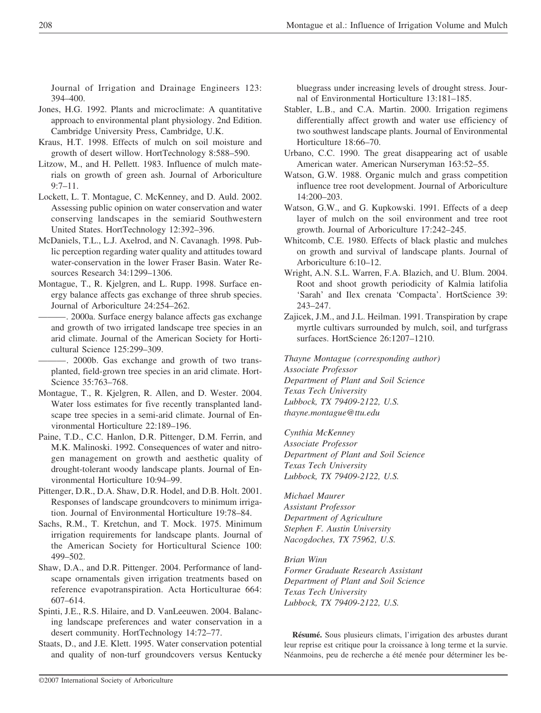Journal of Irrigation and Drainage Engineers 123: 394–400.

- Jones, H.G. 1992. Plants and microclimate: A quantitative approach to environmental plant physiology. 2nd Edition. Cambridge University Press, Cambridge, U.K.
- Kraus, H.T. 1998. Effects of mulch on soil moisture and growth of desert willow. HortTechnology 8:588–590.
- Litzow, M., and H. Pellett. 1983. Influence of mulch materials on growth of green ash. Journal of Arboriculture 9:7–11.
- Lockett, L. T. Montague, C. McKenney, and D. Auld. 2002. Assessing public opinion on water conservation and water conserving landscapes in the semiarid Southwestern United States. HortTechnology 12:392–396.
- McDaniels, T.L., L.J. Axelrod, and N. Cavanagh. 1998. Public perception regarding water quality and attitudes toward water-conservation in the lower Fraser Basin. Water Resources Research 34:1299–1306.
- Montague, T., R. Kjelgren, and L. Rupp. 1998. Surface energy balance affects gas exchange of three shrub species. Journal of Arboriculture 24:254–262.
- -. 2000a. Surface energy balance affects gas exchange and growth of two irrigated landscape tree species in an arid climate. Journal of the American Society for Horticultural Science 125:299–309.

-. 2000b. Gas exchange and growth of two transplanted, field-grown tree species in an arid climate. Hort-Science 35:763–768.

- Montague, T., R. Kjelgren, R. Allen, and D. Wester. 2004. Water loss estimates for five recently transplanted landscape tree species in a semi-arid climate. Journal of Environmental Horticulture 22:189–196.
- Paine, T.D., C.C. Hanlon, D.R. Pittenger, D.M. Ferrin, and M.K. Malinoski. 1992. Consequences of water and nitrogen management on growth and aesthetic quality of drought-tolerant woody landscape plants. Journal of Environmental Horticulture 10:94–99.
- Pittenger, D.R., D.A. Shaw, D.R. Hodel, and D.B. Holt. 2001. Responses of landscape groundcovers to minimum irrigation. Journal of Environmental Horticulture 19:78–84.
- Sachs, R.M., T. Kretchun, and T. Mock. 1975. Minimum irrigation requirements for landscape plants. Journal of the American Society for Horticultural Science 100: 499–502.
- Shaw, D.A., and D.R. Pittenger. 2004. Performance of landscape ornamentals given irrigation treatments based on reference evapotranspiration. Acta Horticulturae 664: 607–614.
- Spinti, J.E., R.S. Hilaire, and D. VanLeeuwen. 2004. Balancing landscape preferences and water conservation in a desert community. HortTechnology 14:72–77.
- Staats, D., and J.E. Klett. 1995. Water conservation potential and quality of non-turf groundcovers versus Kentucky

bluegrass under increasing levels of drought stress. Journal of Environmental Horticulture 13:181–185.

- Stabler, L.B., and C.A. Martin. 2000. Irrigation regimens differentially affect growth and water use efficiency of two southwest landscape plants. Journal of Environmental Horticulture 18:66–70.
- Urbano, C.C. 1990. The great disappearing act of usable American water. American Nurseryman 163:52–55.
- Watson, G.W. 1988. Organic mulch and grass competition influence tree root development. Journal of Arboriculture 14:200–203.
- Watson, G.W., and G. Kupkowski. 1991. Effects of a deep layer of mulch on the soil environment and tree root growth. Journal of Arboriculture 17:242–245.
- Whitcomb, C.E. 1980. Effects of black plastic and mulches on growth and survival of landscape plants. Journal of Arboriculture 6:10–12.
- Wright, A.N. S.L. Warren, F.A. Blazich, and U. Blum. 2004. Root and shoot growth periodicity of Kalmia latifolia 'Sarah' and Ilex crenata 'Compacta'. HortScience 39: 243–247.
- Zajicek, J.M., and J.L. Heilman. 1991. Transpiration by crape myrtle cultivars surrounded by mulch, soil, and turfgrass surfaces. HortScience 26:1207–1210.

*Thayne Montague (corresponding author) Associate Professor Department of Plant and Soil Science Texas Tech University Lubbock, TX 79409-2122, U.S. thayne.montague@ttu.edu*

*Cynthia McKenney Associate Professor Department of Plant and Soil Science Texas Tech University Lubbock, TX 79409-2122, U.S.*

*Michael Maurer Assistant Professor Department of Agriculture Stephen F. Austin University Nacogdoches, TX 75962, U.S.*

## *Brian Winn*

*Former Graduate Research Assistant Department of Plant and Soil Science Texas Tech University Lubbock, TX 79409-2122, U.S.*

**Résumé.** Sous plusieurs climats, l'irrigation des arbustes durant leur reprise est critique pour la croissance à long terme et la survie. Néanmoins, peu de recherche a été menée pour déterminer les be